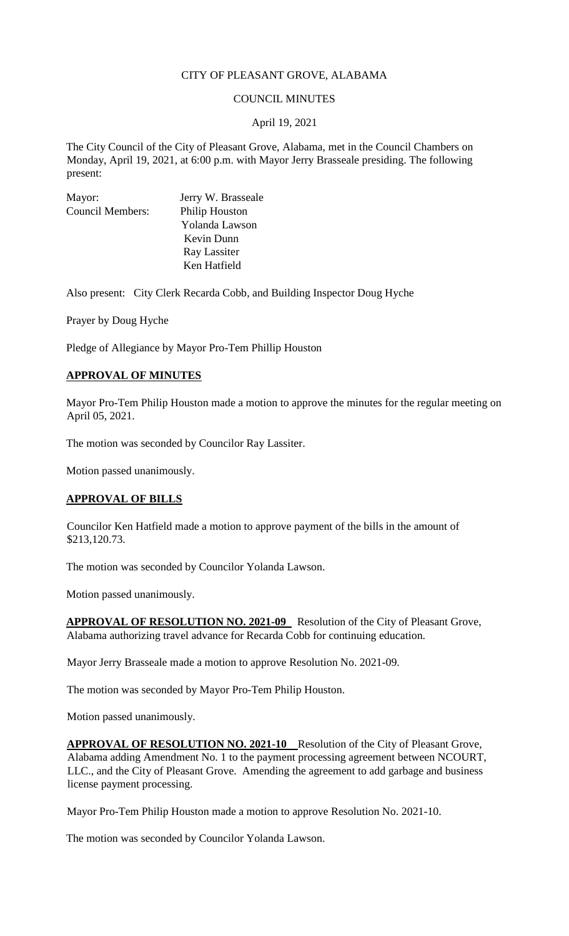# CITY OF PLEASANT GROVE, ALABAMA

### COUNCIL MINUTES

### April 19, 2021

The City Council of the City of Pleasant Grove, Alabama, met in the Council Chambers on Monday, April 19, 2021, at 6:00 p.m. with Mayor Jerry Brasseale presiding. The following present:

| Mayor:                  | Jerry W. Brasseale    |
|-------------------------|-----------------------|
| <b>Council Members:</b> | <b>Philip Houston</b> |
|                         | Yolanda Lawson        |
|                         | Kevin Dunn            |
|                         | Ray Lassiter          |
|                         | Ken Hatfield          |
|                         |                       |

Also present: City Clerk Recarda Cobb, and Building Inspector Doug Hyche

Prayer by Doug Hyche

Pledge of Allegiance by Mayor Pro-Tem Phillip Houston

### **APPROVAL OF MINUTES**

Mayor Pro-Tem Philip Houston made a motion to approve the minutes for the regular meeting on April 05, 2021.

The motion was seconded by Councilor Ray Lassiter.

Motion passed unanimously.

# **APPROVAL OF BILLS**

Councilor Ken Hatfield made a motion to approve payment of the bills in the amount of \$213,120.73.

The motion was seconded by Councilor Yolanda Lawson.

Motion passed unanimously.

**APPROVAL OF RESOLUTION NO. 2021-09** Resolution of the City of Pleasant Grove, Alabama authorizing travel advance for Recarda Cobb for continuing education.

Mayor Jerry Brasseale made a motion to approve Resolution No. 2021-09.

The motion was seconded by Mayor Pro-Tem Philip Houston.

Motion passed unanimously.

**APPROVAL OF RESOLUTION NO. 2021-10** Resolution of the City of Pleasant Grove, Alabama adding Amendment No. 1 to the payment processing agreement between NCOURT, LLC., and the City of Pleasant Grove. Amending the agreement to add garbage and business license payment processing.

Mayor Pro-Tem Philip Houston made a motion to approve Resolution No. 2021-10.

The motion was seconded by Councilor Yolanda Lawson.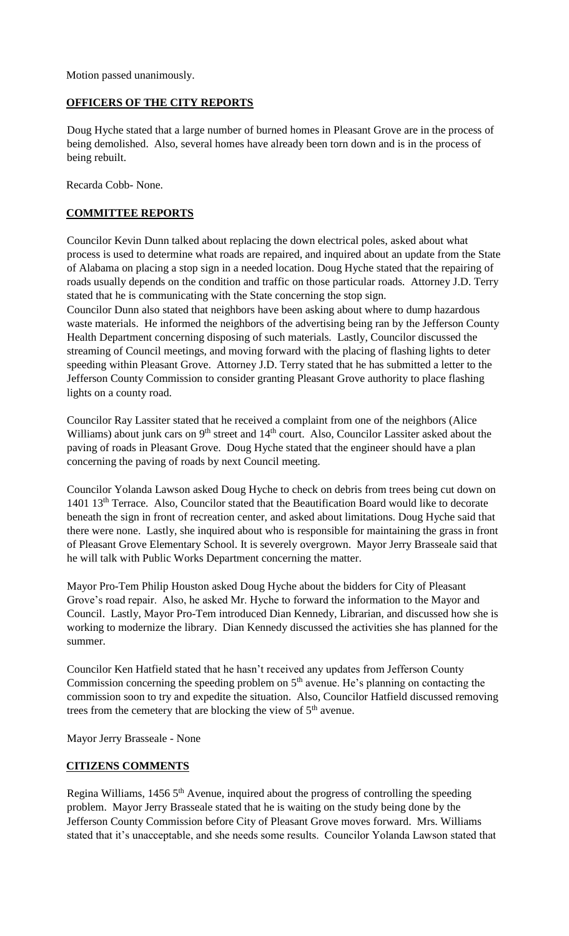Motion passed unanimously.

# **OFFICERS OF THE CITY REPORTS**

Doug Hyche stated that a large number of burned homes in Pleasant Grove are in the process of being demolished. Also, several homes have already been torn down and is in the process of being rebuilt.

Recarda Cobb- None.

# **COMMITTEE REPORTS**

Councilor Kevin Dunn talked about replacing the down electrical poles, asked about what process is used to determine what roads are repaired, and inquired about an update from the State of Alabama on placing a stop sign in a needed location. Doug Hyche stated that the repairing of roads usually depends on the condition and traffic on those particular roads. Attorney J.D. Terry stated that he is communicating with the State concerning the stop sign.

Councilor Dunn also stated that neighbors have been asking about where to dump hazardous waste materials. He informed the neighbors of the advertising being ran by the Jefferson County Health Department concerning disposing of such materials. Lastly, Councilor discussed the streaming of Council meetings, and moving forward with the placing of flashing lights to deter speeding within Pleasant Grove. Attorney J.D. Terry stated that he has submitted a letter to the Jefferson County Commission to consider granting Pleasant Grove authority to place flashing lights on a county road.

Councilor Ray Lassiter stated that he received a complaint from one of the neighbors (Alice Williams) about junk cars on  $9<sup>th</sup>$  street and  $14<sup>th</sup>$  court. Also, Councilor Lassiter asked about the paving of roads in Pleasant Grove. Doug Hyche stated that the engineer should have a plan concerning the paving of roads by next Council meeting.

Councilor Yolanda Lawson asked Doug Hyche to check on debris from trees being cut down on 1401 13<sup>th</sup> Terrace. Also, Councilor stated that the Beautification Board would like to decorate beneath the sign in front of recreation center, and asked about limitations. Doug Hyche said that there were none. Lastly, she inquired about who is responsible for maintaining the grass in front of Pleasant Grove Elementary School. It is severely overgrown. Mayor Jerry Brasseale said that he will talk with Public Works Department concerning the matter.

Mayor Pro-Tem Philip Houston asked Doug Hyche about the bidders for City of Pleasant Grove's road repair. Also, he asked Mr. Hyche to forward the information to the Mayor and Council. Lastly, Mayor Pro-Tem introduced Dian Kennedy, Librarian, and discussed how she is working to modernize the library. Dian Kennedy discussed the activities she has planned for the summer.

Councilor Ken Hatfield stated that he hasn't received any updates from Jefferson County Commission concerning the speeding problem on  $5<sup>th</sup>$  avenue. He's planning on contacting the commission soon to try and expedite the situation. Also, Councilor Hatfield discussed removing trees from the cemetery that are blocking the view of  $5<sup>th</sup>$  avenue.

Mayor Jerry Brasseale - None

# **CITIZENS COMMENTS**

Regina Williams, 1456 5<sup>th</sup> Avenue, inquired about the progress of controlling the speeding problem. Mayor Jerry Brasseale stated that he is waiting on the study being done by the Jefferson County Commission before City of Pleasant Grove moves forward. Mrs. Williams stated that it's unacceptable, and she needs some results. Councilor Yolanda Lawson stated that